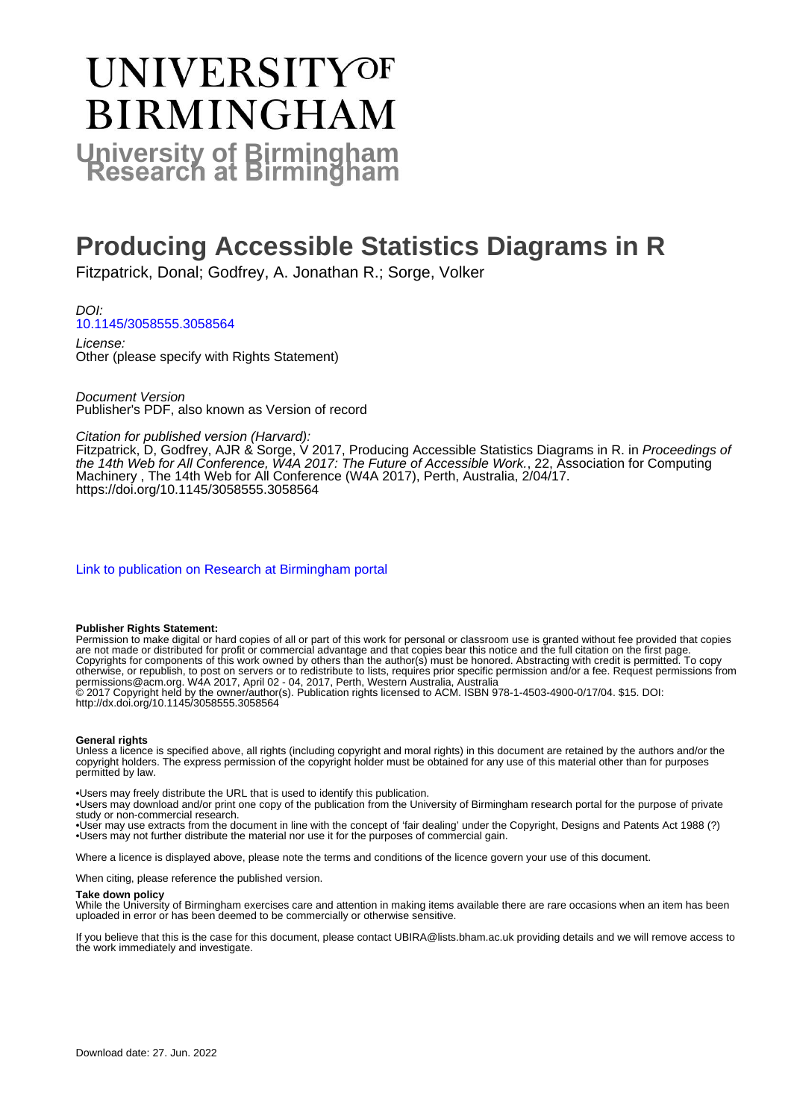# UNIVERSITYOF **BIRMINGHAM University of Birmingham**

# **Producing Accessible Statistics Diagrams in R**

Fitzpatrick, Donal; Godfrey, A. Jonathan R.; Sorge, Volker

DOI: [10.1145/3058555.3058564](https://doi.org/10.1145/3058555.3058564)

License: Other (please specify with Rights Statement)

Document Version Publisher's PDF, also known as Version of record

Citation for published version (Harvard):

Fitzpatrick, D, Godfrey, AJR & Sorge, V 2017, Producing Accessible Statistics Diagrams in R. in Proceedings of the 14th Web for All Conference, W4A 2017: The Future of Accessible Work., 22, Association for Computing Machinery , The 14th Web for All Conference (W4A 2017), Perth, Australia, 2/04/17. <https://doi.org/10.1145/3058555.3058564>

[Link to publication on Research at Birmingham portal](https://birmingham.elsevierpure.com/en/publications/0ceead0f-97a9-4aec-80b2-fe7c26ad5792)

#### **Publisher Rights Statement:**

Permission to make digital or hard copies of all or part of this work for personal or classroom use is granted without fee provided that copies are not made or distributed for profit or commercial advantage and that copies bear this notice and the full citation on the first page. Copyrights for components of this work owned by others than the author(s) must be honored. Abstracting with credit is permitted. To copy otherwise, or republish, to post on servers or to redistribute to lists, requires prior specific permission and/or a fee. Request permissions from permissions@acm.org. W4A 2017, April 02 - 04, 2017, Perth, Western Australia, Australia © 2017 Copyright held by the owner/author(s). Publication rights licensed to ACM. ISBN 978-1-4503-4900-0/17/04. \$15. DOI: http://dx.doi.org/10.1145/3058555.3058564

#### **General rights**

Unless a licence is specified above, all rights (including copyright and moral rights) in this document are retained by the authors and/or the copyright holders. The express permission of the copyright holder must be obtained for any use of this material other than for purposes permitted by law.

• Users may freely distribute the URL that is used to identify this publication.

• Users may download and/or print one copy of the publication from the University of Birmingham research portal for the purpose of private study or non-commercial research.

• User may use extracts from the document in line with the concept of 'fair dealing' under the Copyright, Designs and Patents Act 1988 (?) • Users may not further distribute the material nor use it for the purposes of commercial gain.

Where a licence is displayed above, please note the terms and conditions of the licence govern your use of this document.

When citing, please reference the published version.

#### **Take down policy**

While the University of Birmingham exercises care and attention in making items available there are rare occasions when an item has been uploaded in error or has been deemed to be commercially or otherwise sensitive.

If you believe that this is the case for this document, please contact UBIRA@lists.bham.ac.uk providing details and we will remove access to the work immediately and investigate.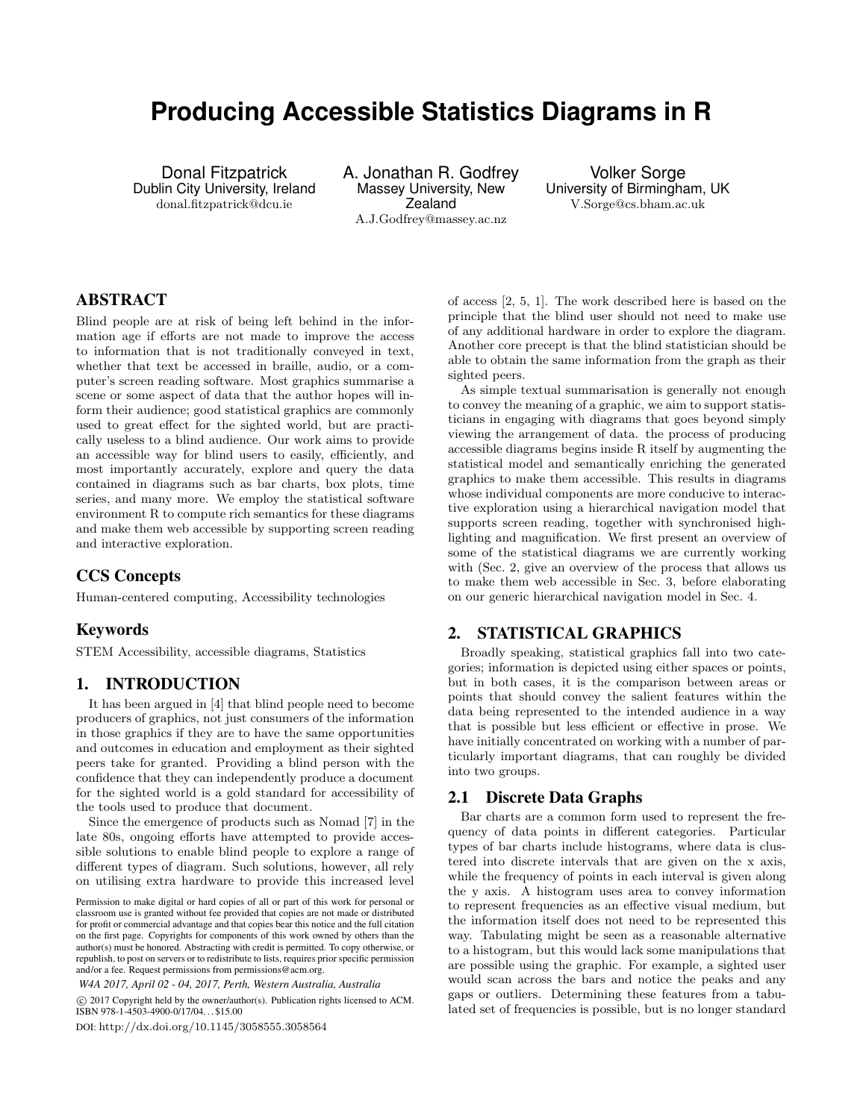# **Producing Accessible Statistics Diagrams in R**

Donal Fitzpatrick Dublin City University, Ireland donal.fitzpatrick@dcu.ie

A. Jonathan R. Godfrey Massey University, New Zealand A.J.Godfrey@massey.ac.nz

Volker Sorge University of Birmingham, UK V.Sorge@cs.bham.ac.uk

# ABSTRACT

Blind people are at risk of being left behind in the information age if efforts are not made to improve the access to information that is not traditionally conveyed in text, whether that text be accessed in braille, audio, or a computer's screen reading software. Most graphics summarise a scene or some aspect of data that the author hopes will inform their audience; good statistical graphics are commonly used to great effect for the sighted world, but are practically useless to a blind audience. Our work aims to provide an accessible way for blind users to easily, efficiently, and most importantly accurately, explore and query the data contained in diagrams such as bar charts, box plots, time series, and many more. We employ the statistical software environment R to compute rich semantics for these diagrams and make them web accessible by supporting screen reading and interactive exploration.

# CCS Concepts

Human-centered computing, Accessibility technologies

## Keywords

STEM Accessibility, accessible diagrams, Statistics

# 1. INTRODUCTION

It has been argued in [4] that blind people need to become producers of graphics, not just consumers of the information in those graphics if they are to have the same opportunities and outcomes in education and employment as their sighted peers take for granted. Providing a blind person with the confidence that they can independently produce a document for the sighted world is a gold standard for accessibility of the tools used to produce that document.

Since the emergence of products such as Nomad [7] in the late 80s, ongoing efforts have attempted to provide accessible solutions to enable blind people to explore a range of different types of diagram. Such solutions, however, all rely on utilising extra hardware to provide this increased level

*W4A 2017, April 02 - 04, 2017, Perth, Western Australia, Australia*

© 2017 Copyright held by the owner/author(s). Publication rights licensed to ACM. cISBN 978-1-4503-4900-0/17/04. . . \$15.00

DOI: http://dx.doi.org/10.1145/3058555.3058564

of access [2, 5, 1]. The work described here is based on the principle that the blind user should not need to make use of any additional hardware in order to explore the diagram. Another core precept is that the blind statistician should be able to obtain the same information from the graph as their sighted peers.

As simple textual summarisation is generally not enough to convey the meaning of a graphic, we aim to support statisticians in engaging with diagrams that goes beyond simply viewing the arrangement of data. the process of producing accessible diagrams begins inside R itself by augmenting the statistical model and semantically enriching the generated graphics to make them accessible. This results in diagrams whose individual components are more conducive to interactive exploration using a hierarchical navigation model that supports screen reading, together with synchronised highlighting and magnification. We first present an overview of some of the statistical diagrams we are currently working with (Sec. 2, give an overview of the process that allows us to make them web accessible in Sec. 3, before elaborating on our generic hierarchical navigation model in Sec. 4.

#### 2. STATISTICAL GRAPHICS

Broadly speaking, statistical graphics fall into two categories; information is depicted using either spaces or points, but in both cases, it is the comparison between areas or points that should convey the salient features within the data being represented to the intended audience in a way that is possible but less efficient or effective in prose. We have initially concentrated on working with a number of particularly important diagrams, that can roughly be divided into two groups.

#### 2.1 Discrete Data Graphs

Bar charts are a common form used to represent the frequency of data points in different categories. Particular types of bar charts include histograms, where data is clustered into discrete intervals that are given on the x axis, while the frequency of points in each interval is given along the y axis. A histogram uses area to convey information to represent frequencies as an effective visual medium, but the information itself does not need to be represented this way. Tabulating might be seen as a reasonable alternative to a histogram, but this would lack some manipulations that are possible using the graphic. For example, a sighted user would scan across the bars and notice the peaks and any gaps or outliers. Determining these features from a tabulated set of frequencies is possible, but is no longer standard

Permission to make digital or hard copies of all or part of this work for personal or classroom use is granted without fee provided that copies are not made or distributed for profit or commercial advantage and that copies bear this notice and the full citation on the first page. Copyrights for components of this work owned by others than the author(s) must be honored. Abstracting with credit is permitted. To copy otherwise, or republish, to post on servers or to redistribute to lists, requires prior specific permission and/or a fee. Request permissions from permissions@acm.org.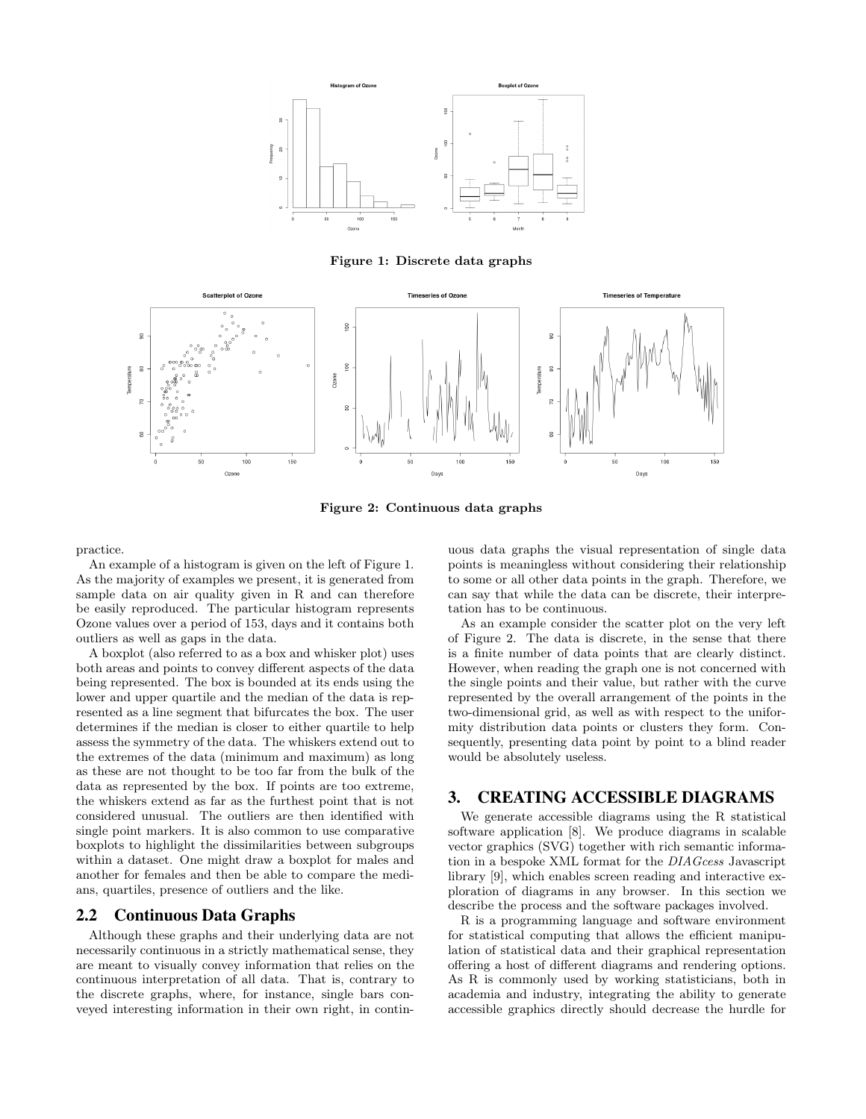

Figure 1: Discrete data graphs



Figure 2: Continuous data graphs

practice.

An example of a histogram is given on the left of Figure 1. As the majority of examples we present, it is generated from sample data on air quality given in R and can therefore be easily reproduced. The particular histogram represents Ozone values over a period of 153, days and it contains both outliers as well as gaps in the data.

A boxplot (also referred to as a box and whisker plot) uses both areas and points to convey different aspects of the data being represented. The box is bounded at its ends using the lower and upper quartile and the median of the data is represented as a line segment that bifurcates the box. The user determines if the median is closer to either quartile to help assess the symmetry of the data. The whiskers extend out to the extremes of the data (minimum and maximum) as long as these are not thought to be too far from the bulk of the data as represented by the box. If points are too extreme, the whiskers extend as far as the furthest point that is not considered unusual. The outliers are then identified with single point markers. It is also common to use comparative boxplots to highlight the dissimilarities between subgroups within a dataset. One might draw a boxplot for males and another for females and then be able to compare the medians, quartiles, presence of outliers and the like.

#### 2.2 Continuous Data Graphs

Although these graphs and their underlying data are not necessarily continuous in a strictly mathematical sense, they are meant to visually convey information that relies on the continuous interpretation of all data. That is, contrary to the discrete graphs, where, for instance, single bars conveyed interesting information in their own right, in continuous data graphs the visual representation of single data points is meaningless without considering their relationship to some or all other data points in the graph. Therefore, we can say that while the data can be discrete, their interpretation has to be continuous.

As an example consider the scatter plot on the very left of Figure 2. The data is discrete, in the sense that there is a finite number of data points that are clearly distinct. However, when reading the graph one is not concerned with the single points and their value, but rather with the curve represented by the overall arrangement of the points in the two-dimensional grid, as well as with respect to the uniformity distribution data points or clusters they form. Consequently, presenting data point by point to a blind reader would be absolutely useless.

#### 3. CREATING ACCESSIBLE DIAGRAMS

We generate accessible diagrams using the R statistical software application [8]. We produce diagrams in scalable vector graphics (SVG) together with rich semantic information in a bespoke XML format for the DIAGcess Javascript library [9], which enables screen reading and interactive exploration of diagrams in any browser. In this section we describe the process and the software packages involved.

R is a programming language and software environment for statistical computing that allows the efficient manipulation of statistical data and their graphical representation offering a host of different diagrams and rendering options. As R is commonly used by working statisticians, both in academia and industry, integrating the ability to generate accessible graphics directly should decrease the hurdle for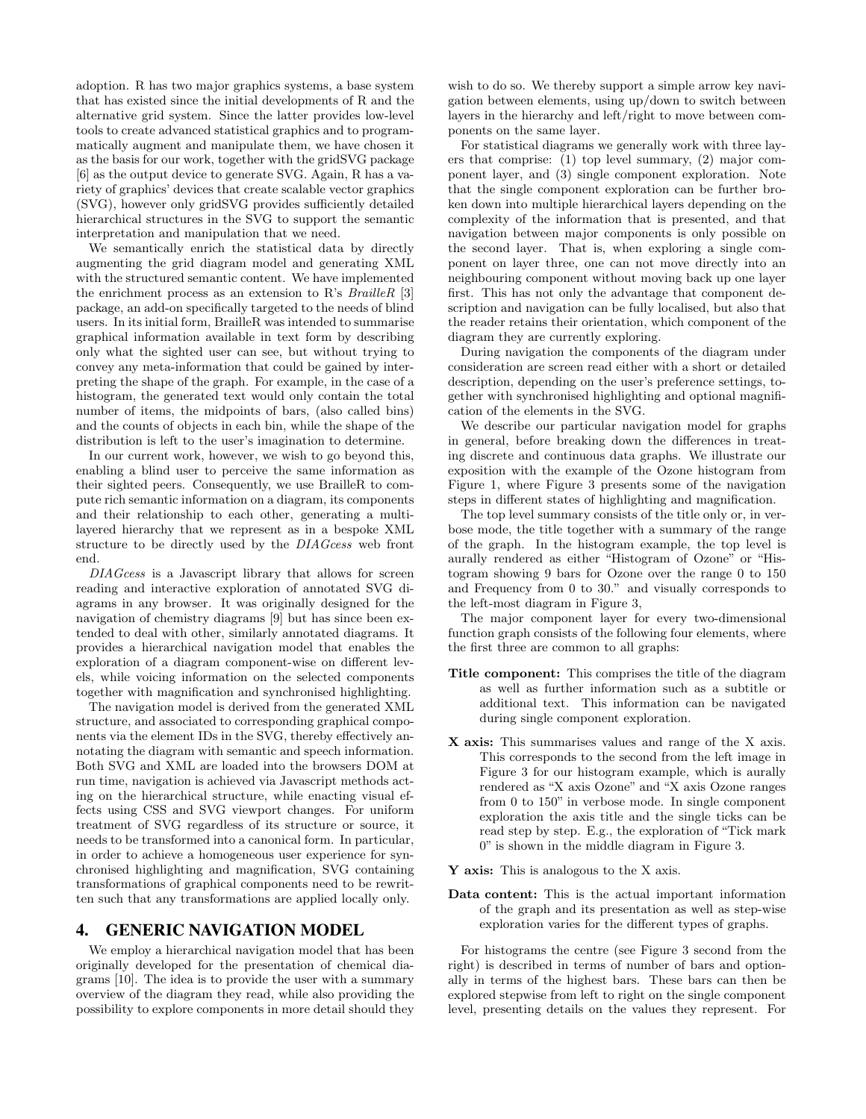adoption. R has two major graphics systems, a base system that has existed since the initial developments of R and the alternative grid system. Since the latter provides low-level tools to create advanced statistical graphics and to programmatically augment and manipulate them, we have chosen it as the basis for our work, together with the gridSVG package [6] as the output device to generate SVG. Again, R has a variety of graphics' devices that create scalable vector graphics (SVG), however only gridSVG provides sufficiently detailed hierarchical structures in the SVG to support the semantic interpretation and manipulation that we need.

We semantically enrich the statistical data by directly augmenting the grid diagram model and generating XML with the structured semantic content. We have implemented the enrichment process as an extension to R's  $BrailleR$  [3] package, an add-on specifically targeted to the needs of blind users. In its initial form, BrailleR was intended to summarise graphical information available in text form by describing only what the sighted user can see, but without trying to convey any meta-information that could be gained by interpreting the shape of the graph. For example, in the case of a histogram, the generated text would only contain the total number of items, the midpoints of bars, (also called bins) and the counts of objects in each bin, while the shape of the distribution is left to the user's imagination to determine.

In our current work, however, we wish to go beyond this, enabling a blind user to perceive the same information as their sighted peers. Consequently, we use BrailleR to compute rich semantic information on a diagram, its components and their relationship to each other, generating a multilayered hierarchy that we represent as in a bespoke XML structure to be directly used by the DIAGcess web front end.

DIAGcess is a Javascript library that allows for screen reading and interactive exploration of annotated SVG diagrams in any browser. It was originally designed for the navigation of chemistry diagrams [9] but has since been extended to deal with other, similarly annotated diagrams. It provides a hierarchical navigation model that enables the exploration of a diagram component-wise on different levels, while voicing information on the selected components together with magnification and synchronised highlighting.

The navigation model is derived from the generated XML structure, and associated to corresponding graphical components via the element IDs in the SVG, thereby effectively annotating the diagram with semantic and speech information. Both SVG and XML are loaded into the browsers DOM at run time, navigation is achieved via Javascript methods acting on the hierarchical structure, while enacting visual effects using CSS and SVG viewport changes. For uniform treatment of SVG regardless of its structure or source, it needs to be transformed into a canonical form. In particular, in order to achieve a homogeneous user experience for synchronised highlighting and magnification, SVG containing transformations of graphical components need to be rewritten such that any transformations are applied locally only.

#### 4. GENERIC NAVIGATION MODEL

We employ a hierarchical navigation model that has been originally developed for the presentation of chemical diagrams [10]. The idea is to provide the user with a summary overview of the diagram they read, while also providing the possibility to explore components in more detail should they

wish to do so. We thereby support a simple arrow key navigation between elements, using up/down to switch between layers in the hierarchy and left/right to move between components on the same layer.

For statistical diagrams we generally work with three layers that comprise: (1) top level summary, (2) major component layer, and (3) single component exploration. Note that the single component exploration can be further broken down into multiple hierarchical layers depending on the complexity of the information that is presented, and that navigation between major components is only possible on the second layer. That is, when exploring a single component on layer three, one can not move directly into an neighbouring component without moving back up one layer first. This has not only the advantage that component description and navigation can be fully localised, but also that the reader retains their orientation, which component of the diagram they are currently exploring.

During navigation the components of the diagram under consideration are screen read either with a short or detailed description, depending on the user's preference settings, together with synchronised highlighting and optional magnification of the elements in the SVG.

We describe our particular navigation model for graphs in general, before breaking down the differences in treating discrete and continuous data graphs. We illustrate our exposition with the example of the Ozone histogram from Figure 1, where Figure 3 presents some of the navigation steps in different states of highlighting and magnification.

The top level summary consists of the title only or, in verbose mode, the title together with a summary of the range of the graph. In the histogram example, the top level is aurally rendered as either "Histogram of Ozone" or "Histogram showing 9 bars for Ozone over the range 0 to 150 and Frequency from 0 to 30." and visually corresponds to the left-most diagram in Figure 3,

The major component layer for every two-dimensional function graph consists of the following four elements, where the first three are common to all graphs:

- Title component: This comprises the title of the diagram as well as further information such as a subtitle or additional text. This information can be navigated during single component exploration.
- X axis: This summarises values and range of the X axis. This corresponds to the second from the left image in Figure 3 for our histogram example, which is aurally rendered as "X axis Ozone" and "X axis Ozone ranges from 0 to 150" in verbose mode. In single component exploration the axis title and the single ticks can be read step by step. E.g., the exploration of "Tick mark 0" is shown in the middle diagram in Figure 3.
- Y axis: This is analogous to the X axis.
- Data content: This is the actual important information of the graph and its presentation as well as step-wise exploration varies for the different types of graphs.

For histograms the centre (see Figure 3 second from the right) is described in terms of number of bars and optionally in terms of the highest bars. These bars can then be explored stepwise from left to right on the single component level, presenting details on the values they represent. For